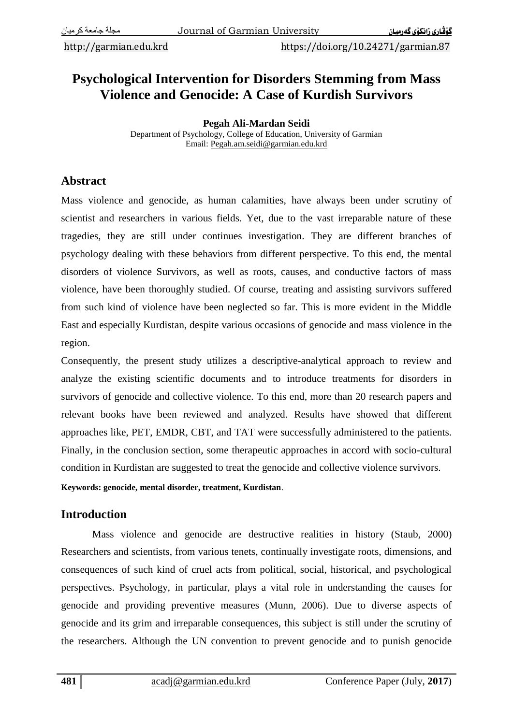http://garmian.edu.krd https://doi.org/10.24271/garmian.87

# **Psychological Intervention for Disorders Stemming from Mass Violence and Genocide: A Case of Kurdish Survivors**

**Pegah Ali-Mardan Seidi** Department of Psychology, College of Education, University of Garmian Email: [Pegah.am.seidi@garmian.edu.krd](mailto:Pegah.am.seidi@garmian.edu.krd)

### **Abstract**

Mass violence and genocide, as human calamities, have always been under scrutiny of scientist and researchers in various fields. Yet, due to the vast irreparable nature of these tragedies, they are still under continues investigation. They are different branches of psychology dealing with these behaviors from different perspective. To this end, the mental disorders of violence Survivors, as well as roots, causes, and conductive factors of mass violence, have been thoroughly studied. Of course, treating and assisting survivors suffered from such kind of violence have been neglected so far. This is more evident in the Middle East and especially Kurdistan, despite various occasions of genocide and mass violence in the region.

Consequently, the present study utilizes a descriptive-analytical approach to review and analyze the existing scientific documents and to introduce treatments for disorders in survivors of genocide and collective violence. To this end, more than 20 research papers and relevant books have been reviewed and analyzed. Results have showed that different approaches like, PET, EMDR, CBT, and TAT were successfully administered to the patients. Finally, in the conclusion section, some therapeutic approaches in accord with socio-cultural condition in Kurdistan are suggested to treat the genocide and collective violence survivors.

**Keywords: genocide, mental disorder, treatment, Kurdistan**.

# **Introduction**

Mass violence and genocide are destructive realities in history (Staub, 2000) Researchers and scientists, from various tenets, continually investigate roots, dimensions, and consequences of such kind of cruel acts from political, social, historical, and psychological perspectives. Psychology, in particular, plays a vital role in understanding the causes for genocide and providing preventive measures (Munn, 2006). Due to diverse aspects of genocide and its grim and irreparable consequences, this subject is still under the scrutiny of the researchers. Although the UN convention to prevent genocide and to punish genocide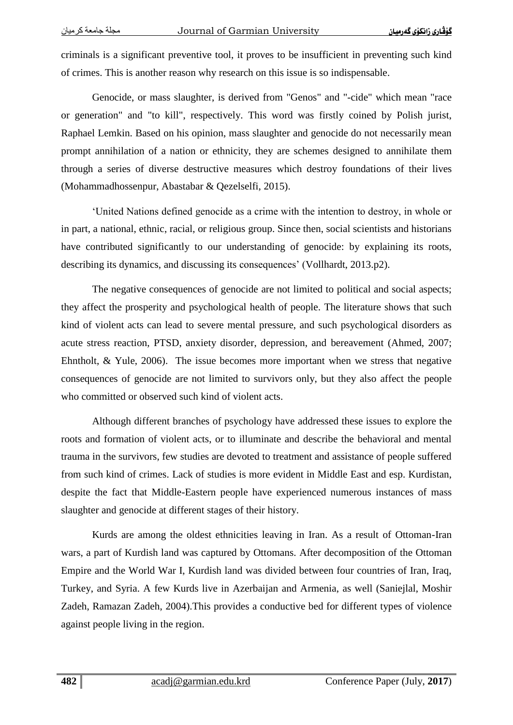criminals is a significant preventive tool, it proves to be insufficient in preventing such kind of crimes. This is another reason why research on this issue is so indispensable.

Genocide, or mass slaughter, is derived from "Genos" and "-cide" which mean "race or generation" and "to kill", respectively. This word was firstly coined by Polish jurist, Raphael Lemkin. Based on his opinion, mass slaughter and genocide do not necessarily mean prompt annihilation of a nation or ethnicity, they are schemes designed to annihilate them through a series of diverse destructive measures which destroy foundations of their lives (Mohammadhossenpur, Abastabar & Qezelselfi, 2015).

'United Nations defined genocide as a crime with the intention to destroy, in whole or in part, a national, ethnic, racial, or religious group. Since then, social scientists and historians have contributed significantly to our understanding of genocide: by explaining its roots, describing its dynamics, and discussing its consequences' (Vollhardt, 2013.p2).

The negative consequences of genocide are not limited to political and social aspects; they affect the prosperity and psychological health of people. The literature shows that such kind of violent acts can lead to severe mental pressure, and such psychological disorders as acute stress reaction, PTSD, anxiety disorder, depression, and bereavement (Ahmed, 2007; Ehntholt, & Yule, 2006). The issue becomes more important when we stress that negative consequences of genocide are not limited to survivors only, but they also affect the people who committed or observed such kind of violent acts.

Although different branches of psychology have addressed these issues to explore the roots and formation of violent acts, or to illuminate and describe the behavioral and mental trauma in the survivors, few studies are devoted to treatment and assistance of people suffered from such kind of crimes. Lack of studies is more evident in Middle East and esp. Kurdistan, despite the fact that Middle-Eastern people have experienced numerous instances of mass slaughter and genocide at different stages of their history.

Kurds are among the oldest ethnicities leaving in Iran. As a result of Ottoman-Iran wars, a part of Kurdish land was captured by Ottomans. After decomposition of the Ottoman Empire and the World War I, Kurdish land was divided between four countries of Iran, Iraq, Turkey, and Syria. A few Kurds live in Azerbaijan and Armenia, as well (Saniejlal, Moshir Zadeh, Ramazan Zadeh, 2004).This provides a conductive bed for different types of violence against people living in the region.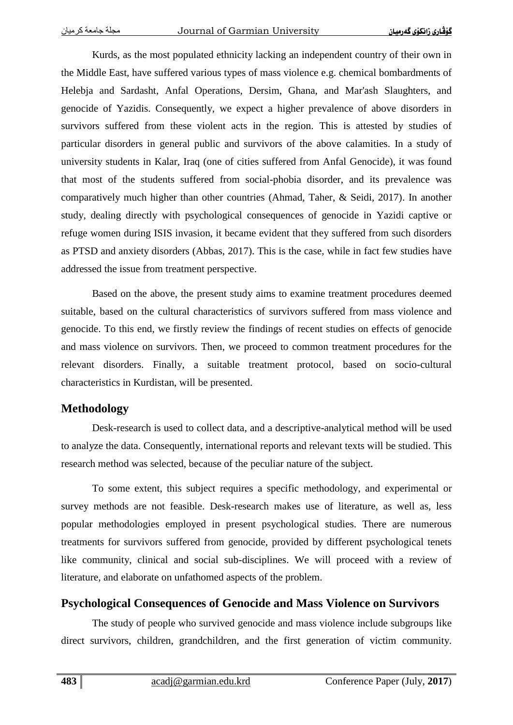Kurds, as the most populated ethnicity lacking an independent country of their own in the Middle East, have suffered various types of mass violence e.g. chemical bombardments of Helebja and Sardasht, Anfal Operations, Dersim, Ghana, and Mar'ash Slaughters, and genocide of Yazidis. Consequently, we expect a higher prevalence of above disorders in survivors suffered from these violent acts in the region. This is attested by studies of particular disorders in general public and survivors of the above calamities. In a study of university students in Kalar, Iraq (one of cities suffered from Anfal Genocide), it was found that most of the students suffered from social-phobia disorder, and its prevalence was comparatively much higher than other countries (Ahmad, Taher, & Seidi, 2017). In another study, dealing directly with psychological consequences of genocide in Yazidi captive or refuge women during ISIS invasion, it became evident that they suffered from such disorders as PTSD and anxiety disorders (Abbas, 2017). This is the case, while in fact few studies have addressed the issue from treatment perspective.

Based on the above, the present study aims to examine treatment procedures deemed suitable, based on the cultural characteristics of survivors suffered from mass violence and genocide. To this end, we firstly review the findings of recent studies on effects of genocide and mass violence on survivors. Then, we proceed to common treatment procedures for the relevant disorders. Finally, a suitable treatment protocol, based on socio-cultural characteristics in Kurdistan, will be presented.

# **Methodology**

Desk-research is used to collect data, and a descriptive-analytical method will be used to analyze the data. Consequently, international reports and relevant texts will be studied. This research method was selected, because of the peculiar nature of the subject.

To some extent, this subject requires a specific methodology, and experimental or survey methods are not feasible. Desk-research makes use of literature, as well as, less popular methodologies employed in present psychological studies. There are numerous treatments for survivors suffered from genocide, provided by different psychological tenets like community, clinical and social sub-disciplines. We will proceed with a review of literature, and elaborate on unfathomed aspects of the problem.

# **Psychological Consequences of Genocide and Mass Violence on Survivors**

The study of people who survived genocide and mass violence include subgroups like direct survivors, children, grandchildren, and the first generation of victim community.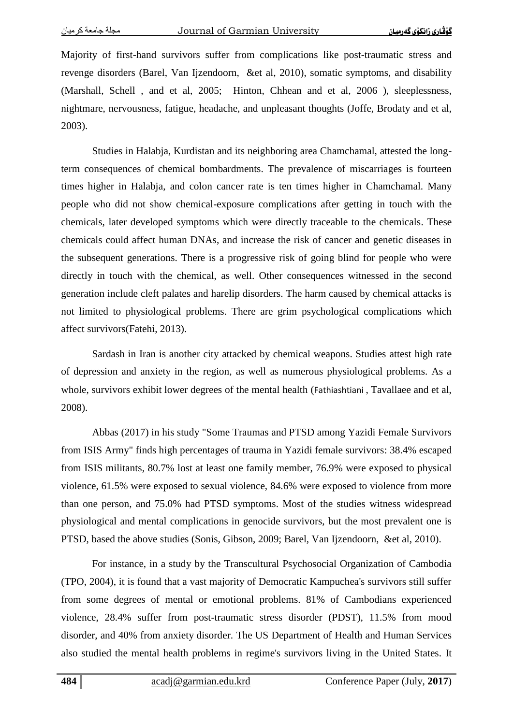Majority of first-hand survivors suffer from complications like post-traumatic stress and revenge disorders (Barel, Van Ijzendoorn, &et al, 2010), somatic symptoms, and disability (Marshall, Schell , and et al, 2005; Hinton, Chhean and et al, 2006 ), sleeplessness, nightmare, nervousness, fatigue, headache, and unpleasant thoughts (Joffe, Brodaty and et al, 2003).

Studies in Halabja, Kurdistan and its neighboring area Chamchamal, attested the longterm consequences of chemical bombardments. The prevalence of miscarriages is fourteen times higher in Halabja, and colon cancer rate is ten times higher in Chamchamal. Many people who did not show chemical-exposure complications after getting in touch with the chemicals, later developed symptoms which were directly traceable to the chemicals. These chemicals could affect human DNAs, and increase the risk of cancer and genetic diseases in the subsequent generations. There is a progressive risk of going blind for people who were directly in touch with the chemical, as well. Other consequences witnessed in the second generation include cleft palates and harelip disorders. The harm caused by chemical attacks is not limited to physiological problems. There are grim psychological complications which affect survivors(Fatehi, 2013).

Sardash in Iran is another city attacked by chemical weapons. Studies attest high rate of depression and anxiety in the region, as well as numerous physiological problems. As a whole, survivors exhibit lower degrees of the mental health ([Fathiashtiani](http://militarymedj.ir/search.php?sid=1&slc_lang=en&auth=Fathiashtiani+A.) , Tavallaee and et al, 2008).

Abbas (2017) in his study "Some Traumas and PTSD among Yazidi Female Survivors from ISIS Army" finds high percentages of trauma in Yazidi female survivors: 38.4% escaped from ISIS militants, 80.7% lost at least one family member, 76.9% were exposed to physical violence, 61.5% were exposed to sexual violence, 84.6% were exposed to violence from more than one person, and 75.0% had PTSD symptoms. Most of the studies witness widespread physiological and mental complications in genocide survivors, but the most prevalent one is PTSD, based the above studies [\(Sonis,](https://www.ncbi.nlm.nih.gov/pubmed/?term=Sonis%20J%5BAuthor%5D&cauthor=true&cauthor_uid=19654387) [Gibson,](https://www.ncbi.nlm.nih.gov/pubmed/?term=Gibson%20JL%5BAuthor%5D&cauthor=true&cauthor_uid=19654387) 2009; Barel, Van Ijzendoorn, &et al, 2010).

For instance, in a study by the Transcultural Psychosocial Organization of Cambodia (TPO, 2004), it is found that a vast majority of Democratic Kampuchea's survivors still suffer from some degrees of mental or emotional problems. 81% of Cambodians experienced violence, 28.4% suffer from post-traumatic stress disorder (PDST), 11.5% from mood disorder, and 40% from anxiety disorder. The US Department of Health and Human Services also studied the mental health problems in regime's survivors living in the United States. It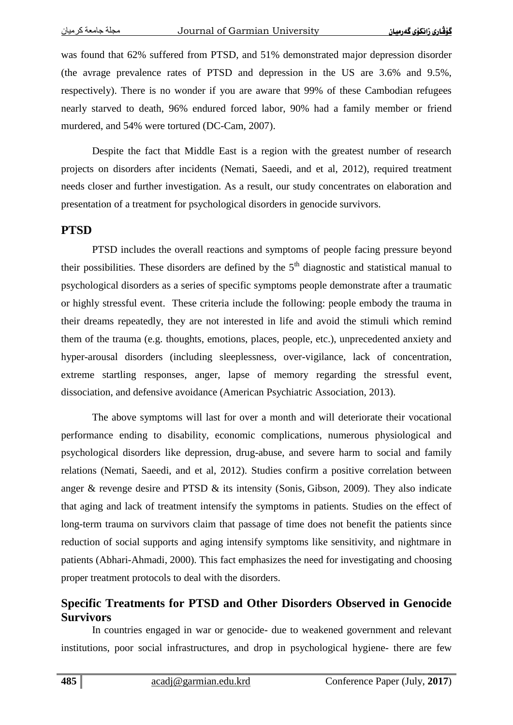was found that 62% suffered from PTSD, and 51% demonstrated major depression disorder (the avrage prevalence rates of PTSD and depression in the US are 3.6% and 9.5%, respectively). There is no wonder if you are aware that 99% of these Cambodian refugees nearly starved to death, 96% endured forced labor, 90% had a family member or friend murdered, and 54% were tortured (DC-Cam, 2007).

Despite the fact that Middle East is a region with the greatest number of research projects on disorders after incidents (Nemati, Saeedi, and et al, 2012), required treatment needs closer and further investigation. As a result, our study concentrates on elaboration and presentation of a treatment for psychological disorders in genocide survivors.

#### **PTSD**

PTSD includes the overall reactions and symptoms of people facing pressure beyond their possibilities. These disorders are defined by the  $5<sup>th</sup>$  diagnostic and statistical manual to psychological disorders as a series of specific symptoms people demonstrate after a traumatic or highly stressful event. These criteria include the following: people embody the trauma in their dreams repeatedly, they are not interested in life and avoid the stimuli which remind them of the trauma (e.g. thoughts, emotions, places, people, etc.), unprecedented anxiety and hyper-arousal disorders (including sleeplessness, over-vigilance, lack of concentration, extreme startling responses, anger, lapse of memory regarding the stressful event, dissociation, and defensive avoidance (American Psychiatric Association, 2013).

The above symptoms will last for over a month and will deteriorate their vocational performance ending to disability, economic complications, numerous physiological and psychological disorders like depression, drug-abuse, and severe harm to social and family relations (Nemati, Saeedi, and et al, 2012). Studies confirm a positive correlation between anger & revenge desire and PTSD & its intensity [\(Sonis,](https://www.ncbi.nlm.nih.gov/pubmed/?term=Sonis%20J%5BAuthor%5D&cauthor=true&cauthor_uid=19654387) [Gibson,](https://www.ncbi.nlm.nih.gov/pubmed/?term=Gibson%20JL%5BAuthor%5D&cauthor=true&cauthor_uid=19654387) 2009). They also indicate that aging and lack of treatment intensify the symptoms in patients. Studies on the effect of long-term trauma on survivors claim that passage of time does not benefit the patients since reduction of social supports and aging intensify symptoms like sensitivity, and nightmare in patients (Abhari-Ahmadi, 2000). This fact emphasizes the need for investigating and choosing proper treatment protocols to deal with the disorders.

### **Specific Treatments for PTSD and Other Disorders Observed in Genocide Survivors**

In countries engaged in war or genocide- due to weakened government and relevant institutions, poor social infrastructures, and drop in psychological hygiene- there are few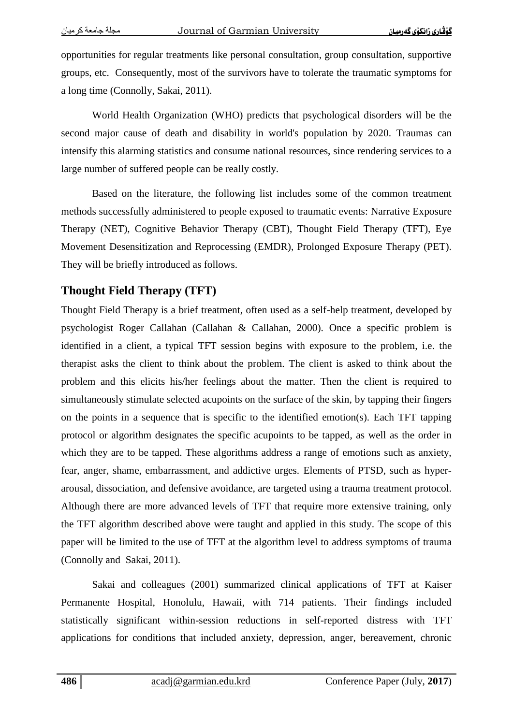opportunities for regular treatments like personal consultation, group consultation, supportive groups, etc. Consequently, most of the survivors have to tolerate the traumatic symptoms for a long time (Connolly, Sakai, 2011).

World Health Organization (WHO) predicts that psychological disorders will be the second major cause of death and disability in world's population by 2020. Traumas can intensify this alarming statistics and consume national resources, since rendering services to a large number of suffered people can be really costly.

Based on the literature, the following list includes some of the common treatment methods successfully administered to people exposed to traumatic events: Narrative Exposure Therapy (NET), Cognitive Behavior Therapy (CBT), Thought Field Therapy (TFT), Eye Movement Desensitization and Reprocessing (EMDR), Prolonged Exposure Therapy (PET). They will be briefly introduced as follows.

# **Thought Field Therapy (TFT)**

Thought Field Therapy is a brief treatment, often used as a self-help treatment, developed by psychologist Roger Callahan (Callahan & Callahan, 2000). Once a specific problem is identified in a client, a typical TFT session begins with exposure to the problem, i.e. the therapist asks the client to think about the problem. The client is asked to think about the problem and this elicits his/her feelings about the matter. Then the client is required to simultaneously stimulate selected acupoints on the surface of the skin, by tapping their fingers on the points in a sequence that is specific to the identified emotion(s). Each TFT tapping protocol or algorithm designates the specific acupoints to be tapped, as well as the order in which they are to be tapped. These algorithms address a range of emotions such as anxiety, fear, anger, shame, embarrassment, and addictive urges. Elements of PTSD, such as hyperarousal, dissociation, and defensive avoidance, are targeted using a trauma treatment protocol. Although there are more advanced levels of TFT that require more extensive training, only the TFT algorithm described above were taught and applied in this study. The scope of this paper will be limited to the use of TFT at the algorithm level to address symptoms of trauma (Connolly and Sakai, 2011).

Sakai and colleagues (2001) summarized clinical applications of TFT at Kaiser Permanente Hospital, Honolulu, Hawaii, with 714 patients. Their findings included statistically significant within-session reductions in self-reported distress with TFT applications for conditions that included anxiety, depression, anger, bereavement, chronic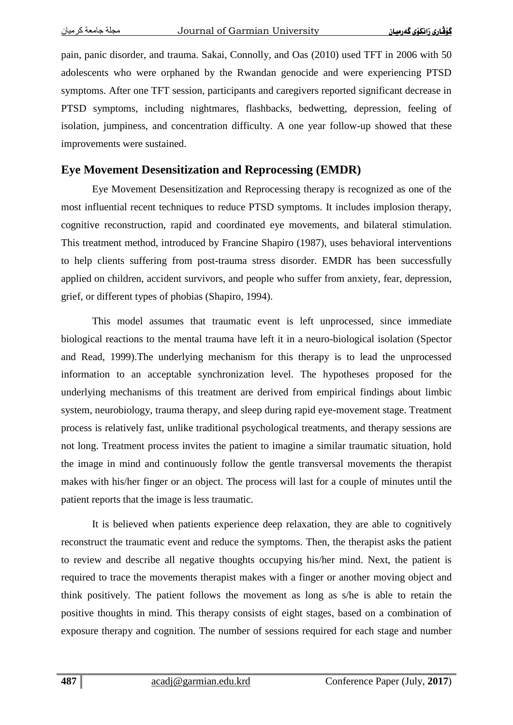pain, panic disorder, and trauma. Sakai, Connolly, and Oas (2010) used TFT in 2006 with 50 adolescents who were orphaned by the Rwandan genocide and were experiencing PTSD symptoms. After one TFT session, participants and caregivers reported significant decrease in PTSD symptoms, including nightmares, flashbacks, bedwetting, depression, feeling of isolation, jumpiness, and concentration difficulty. A one year follow-up showed that these improvements were sustained.

#### **Eye Movement Desensitization and Reprocessing (EMDR)**

Eye Movement Desensitization and Reprocessing therapy is recognized as one of the most influential recent techniques to reduce PTSD symptoms. It includes implosion therapy, cognitive reconstruction, rapid and coordinated eye movements, and bilateral stimulation. This treatment method, introduced by Francine Shapiro (1987), uses behavioral interventions to help clients suffering from post-trauma stress disorder. EMDR has been successfully applied on children, accident survivors, and people who suffer from anxiety, fear, depression, grief, or different types of phobias (Shapiro, 1994).

This model assumes that traumatic event is left unprocessed, since immediate biological reactions to the mental trauma have left it in a neuro-biological isolation (Spector and Read, 1999).The underlying mechanism for this therapy is to lead the unprocessed information to an acceptable synchronization level. The hypotheses proposed for the underlying mechanisms of this treatment are derived from empirical findings about limbic system, neurobiology, trauma therapy, and sleep during rapid eye-movement stage. Treatment process is relatively fast, unlike traditional psychological treatments, and therapy sessions are not long. Treatment process invites the patient to imagine a similar traumatic situation, hold the image in mind and continuously follow the gentle transversal movements the therapist makes with his/her finger or an object. The process will last for a couple of minutes until the patient reports that the image is less traumatic.

It is believed when patients experience deep relaxation, they are able to cognitively reconstruct the traumatic event and reduce the symptoms. Then, the therapist asks the patient to review and describe all negative thoughts occupying his/her mind. Next, the patient is required to trace the movements therapist makes with a finger or another moving object and think positively. The patient follows the movement as long as s/he is able to retain the positive thoughts in mind. This therapy consists of eight stages, based on a combination of exposure therapy and cognition. The number of sessions required for each stage and number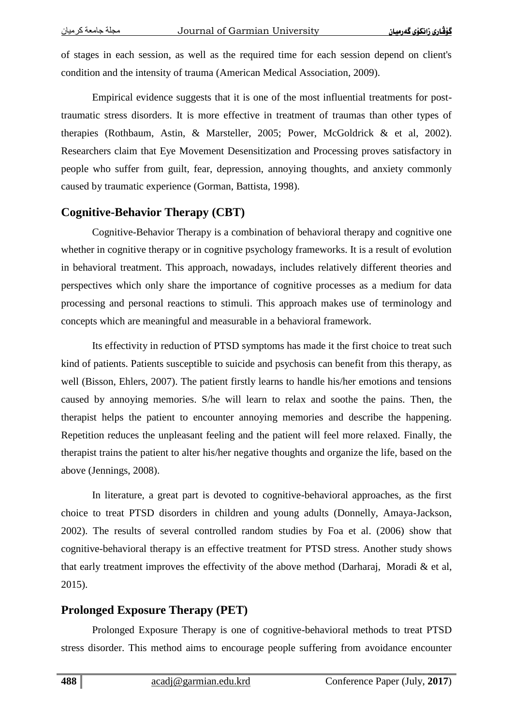of stages in each session, as well as the required time for each session depend on client's condition and the intensity of trauma (American Medical Association, 2009).

Empirical evidence suggests that it is one of the most influential treatments for posttraumatic stress disorders. It is more effective in treatment of traumas than other types of therapies (Rothbaum, Astin, & Marsteller, 2005; Power, McGoldrick & et al, 2002). Researchers claim that Eye Movement Desensitization and Processing proves satisfactory in people who suffer from guilt, fear, depression, annoying thoughts, and anxiety commonly caused by traumatic experience (Gorman, Battista, 1998).

#### **Cognitive-Behavior Therapy (CBT)**

Cognitive-Behavior Therapy is a combination of behavioral therapy and cognitive one whether in cognitive therapy or in cognitive psychology frameworks. It is a result of evolution in behavioral treatment. This approach, nowadays, includes relatively different theories and perspectives which only share the importance of cognitive processes as a medium for data processing and personal reactions to stimuli. This approach makes use of terminology and concepts which are meaningful and measurable in a behavioral framework.

Its effectivity in reduction of PTSD symptoms has made it the first choice to treat such kind of patients. Patients susceptible to suicide and psychosis can benefit from this therapy, as well (Bisson, Ehlers, 2007). The patient firstly learns to handle his/her emotions and tensions caused by annoying memories. S/he will learn to relax and soothe the pains. Then, the therapist helps the patient to encounter annoying memories and describe the happening. Repetition reduces the unpleasant feeling and the patient will feel more relaxed. Finally, the therapist trains the patient to alter his/her negative thoughts and organize the life, based on the above (Jennings, 2008).

In literature, a great part is devoted to cognitive-behavioral approaches, as the first choice to treat PTSD disorders in children and young adults (Donnelly, Amaya-Jackson, 2002). The results of several controlled random studies by Foa et al. (2006) show that cognitive-behavioral therapy is an effective treatment for PTSD stress. Another study shows that early treatment improves the effectivity of the above method [\(Darharaj,](http://aums.abzums.ac.ir/search.php?sid=1&slc_lang=en&auth=Darharaj) [Moradi](http://aums.abzums.ac.ir/search.php?sid=1&slc_lang=en&auth=Moradi) & et al, 2015).

#### **Prolonged Exposure Therapy (PET)**

Prolonged Exposure Therapy is one of cognitive-behavioral methods to treat PTSD stress disorder. This method aims to encourage people suffering from avoidance encounter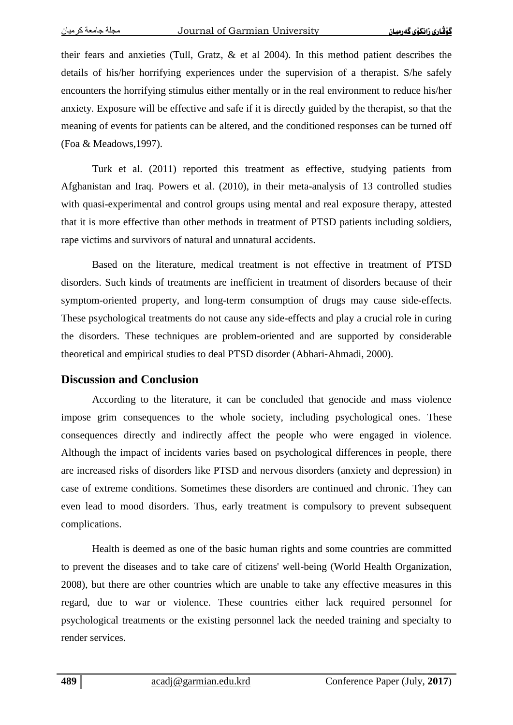their fears and anxieties (Tull, Gratz, & et al 2004). In this method patient describes the details of his/her horrifying experiences under the supervision of a therapist. S/he safely encounters the horrifying stimulus either mentally or in the real environment to reduce his/her anxiety. Exposure will be effective and safe if it is directly guided by the therapist, so that the meaning of events for patients can be altered, and the conditioned responses can be turned off (Foa & Meadows,1997).

Turk et al. (2011) reported this treatment as effective, studying patients from Afghanistan and Iraq. Powers et al. (2010), in their meta-analysis of 13 controlled studies with quasi-experimental and control groups using mental and real exposure therapy, attested that it is more effective than other methods in treatment of PTSD patients including soldiers, rape victims and survivors of natural and unnatural accidents.

Based on the literature, medical treatment is not effective in treatment of PTSD disorders. Such kinds of treatments are inefficient in treatment of disorders because of their symptom-oriented property, and long-term consumption of drugs may cause side-effects. These psychological treatments do not cause any side-effects and play a crucial role in curing the disorders. These techniques are problem-oriented and are supported by considerable theoretical and empirical studies to deal PTSD disorder (Abhari-Ahmadi, 2000).

#### **Discussion and Conclusion**

According to the literature, it can be concluded that genocide and mass violence impose grim consequences to the whole society, including psychological ones. These consequences directly and indirectly affect the people who were engaged in violence. Although the impact of incidents varies based on psychological differences in people, there are increased risks of disorders like PTSD and nervous disorders (anxiety and depression) in case of extreme conditions. Sometimes these disorders are continued and chronic. They can even lead to mood disorders. Thus, early treatment is compulsory to prevent subsequent complications.

Health is deemed as one of the basic human rights and some countries are committed to prevent the diseases and to take care of citizens' well-being (World Health Organization, 2008), but there are other countries which are unable to take any effective measures in this regard, due to war or violence. These countries either lack required personnel for psychological treatments or the existing personnel lack the needed training and specialty to render services.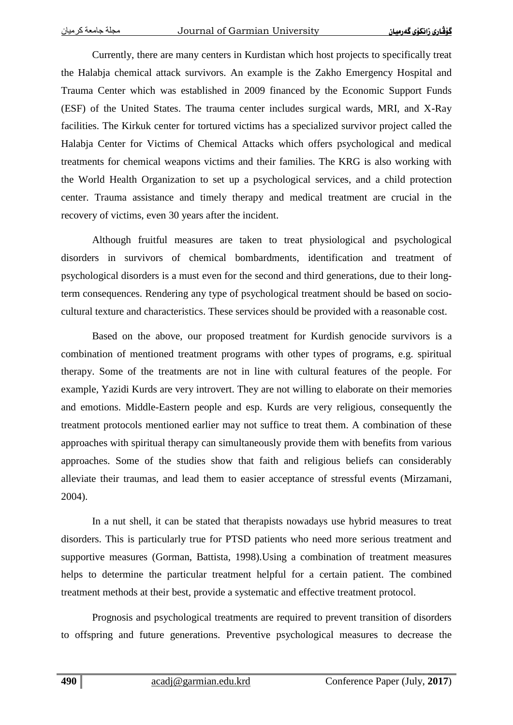Currently, there are many centers in Kurdistan which host projects to specifically treat the Halabja chemical attack survivors. An example is the Zakho Emergency Hospital and Trauma Center which was established in 2009 financed by the Economic Support Funds (ESF) of the United States. The trauma center includes surgical wards, MRI, and X-Ray facilities. The Kirkuk center for tortured victims has a specialized survivor project called the Halabja Center for Victims of Chemical Attacks which offers psychological and medical treatments for chemical weapons victims and their families. The KRG is also working with the World Health Organization to set up a psychological services, and a child protection center. Trauma assistance and timely therapy and medical treatment are crucial in the recovery of victims, even 30 years after the incident.

Although fruitful measures are taken to treat physiological and psychological disorders in survivors of chemical bombardments, identification and treatment of psychological disorders is a must even for the second and third generations, due to their longterm consequences. Rendering any type of psychological treatment should be based on sociocultural texture and characteristics. These services should be provided with a reasonable cost.

Based on the above, our proposed treatment for Kurdish genocide survivors is a combination of mentioned treatment programs with other types of programs, e.g. spiritual therapy. Some of the treatments are not in line with cultural features of the people. For example, Yazidi Kurds are very introvert. They are not willing to elaborate on their memories and emotions. Middle-Eastern people and esp. Kurds are very religious, consequently the treatment protocols mentioned earlier may not suffice to treat them. A combination of these approaches with spiritual therapy can simultaneously provide them with benefits from various approaches. Some of the studies show that faith and religious beliefs can considerably alleviate their traumas, and lead them to easier acceptance of stressful events (Mirzamani, 2004).

In a nut shell, it can be stated that therapists nowadays use hybrid measures to treat disorders. This is particularly true for PTSD patients who need more serious treatment and supportive measures (Gorman, Battista, 1998).Using a combination of treatment measures helps to determine the particular treatment helpful for a certain patient. The combined treatment methods at their best, provide a systematic and effective treatment protocol.

Prognosis and psychological treatments are required to prevent transition of disorders to offspring and future generations. Preventive psychological measures to decrease the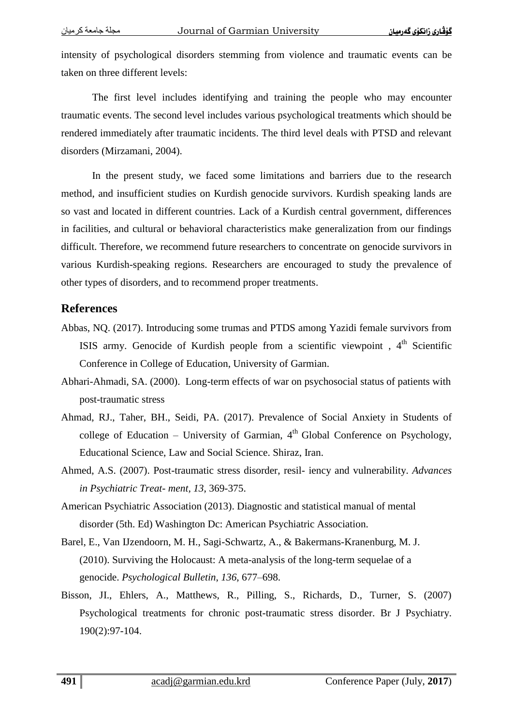intensity of psychological disorders stemming from violence and traumatic events can be taken on three different levels:

The first level includes identifying and training the people who may encounter traumatic events. The second level includes various psychological treatments which should be rendered immediately after traumatic incidents. The third level deals with PTSD and relevant disorders (Mirzamani, 2004).

In the present study, we faced some limitations and barriers due to the research method, and insufficient studies on Kurdish genocide survivors. Kurdish speaking lands are so vast and located in different countries. Lack of a Kurdish central government, differences in facilities, and cultural or behavioral characteristics make generalization from our findings difficult. Therefore, we recommend future researchers to concentrate on genocide survivors in various Kurdish-speaking regions. Researchers are encouraged to study the prevalence of other types of disorders, and to recommend proper treatments.

#### **References**

- Abbas, NQ. (2017). Introducing some trumas and PTDS among Yazidi female survivors from ISIS army. Genocide of Kurdish people from a scientific viewpoint ,  $4<sup>th</sup>$  Scientific Conference in College of Education, University of Garmian.
- Abhari-Ahmadi, SA. (2000). Long-term effects of war on psychosocial status of patients with post-traumatic stress
- Ahmad, RJ., Taher, BH., Seidi, PA. (2017). Prevalence of Social Anxiety in Students of college of Education – University of Garmian,  $4<sup>th</sup>$  Global Conference on Psychology, Educational Science, Law and Social Science. Shiraz, Iran.
- Ahmed, A.S. (2007). Post-traumatic stress disorder, resil- iency and vulnerability. *Advances in Psychiatric Treat- ment, 13*, 369-375.
- American Psychiatric Association (2013). Diagnostic and statistical manual of mental disorder (5th. Ed) Washington Dc: American Psychiatric Association.
- Barel, E., Van IJzendoorn, M. H., Sagi-Schwartz, A., & Bakermans-Kranenburg, M. J. (2010). Surviving the Holocaust: A meta-analysis of the long-term sequelae of a genocide. *Psychological Bulletin*, *136*, 677–698.
- Bisson, JI., Ehlers, A., Matthews, R., Pilling, S., Richards, D., Turner, S. (2007) Psychological treatments for chronic post-traumatic stress disorder. Br J Psychiatry. 190(2):97-104.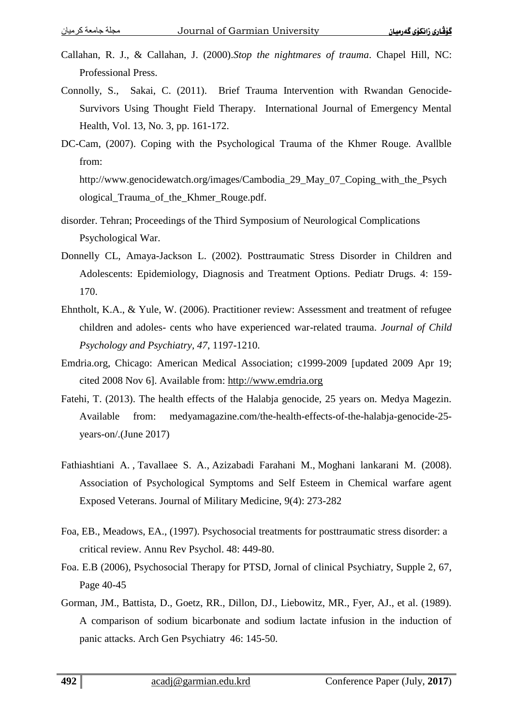- Callahan, R. J., & Callahan, J. (2000).*Stop the nightmares of trauma*. Chapel Hill, NC: Professional Press.
- Connolly, S., Sakai, C. (2011). Brief Trauma Intervention with Rwandan Genocide-Survivors Using Thought Field Therapy. International Journal of Emergency Mental Health, Vol. 13, No. 3, pp. 161-172.
- DC-Cam, (2007). Coping with the Psychological Trauma of the Khmer Rouge. Avallble from:

[http://www.genocidewatch.org/images/Cambodia\\_29\\_May\\_07\\_Coping\\_with\\_the\\_Psych](http://www.genocidewatch.org/images/Cambodia_29_May_07_Coping_with_the_Psychological_Trauma_of_the_Khmer_Rouge.pdf) [ological\\_Trauma\\_of\\_the\\_Khmer\\_Rouge.pdf.](http://www.genocidewatch.org/images/Cambodia_29_May_07_Coping_with_the_Psychological_Trauma_of_the_Khmer_Rouge.pdf)

- disorder. Tehran; Proceedings of the Third Symposium of Neurological Complications Psychological War.
- Donnelly CL, Amaya-Jackson L. (2002). Posttraumatic Stress Disorder in Children and Adolescents: Epidemiology, Diagnosis and Treatment Options. Pediatr Drugs. 4: 159- 170.
- Ehntholt, K.A., & Yule, W. (2006). Practitioner review: Assessment and treatment of refugee children and adoles- cents who have experienced war-related trauma. *Journal of Child Psychology and Psychiatry, 47*, 1197-1210.
- Emdria.org, Chicago: American Medical Association; c1999-2009 [updated 2009 Apr 19; cited 2008 Nov 6]. Available from: [http://www.emdria.org](http://www.emdria.org/)
- Fatehi, T. (2013). The health effects of the Halabja genocide, 25 years on. Medya Magezin. Available from: medyamagazine.com/the-health-effects-of-the-halabja-genocide-25 years-on/.(June 2017)
- [Fathiashtiani A.](http://militarymedj.ir/search.php?sid=1&slc_lang=en&auth=Fathiashtiani+A.) , [Tavallaee S. A.,](http://militarymedj.ir/search.php?sid=1&slc_lang=en&auth=Tavallaee+S.+A.) [Azizabadi Farahani M.,](http://militarymedj.ir/search.php?sid=1&slc_lang=en&auth=Azizabadi+Farahani+M.) [Moghani lankarani M.](http://militarymedj.ir/search.php?sid=1&slc_lang=en&auth=Moghani+lankarani+M.) (2008). [Association of Psychological Symptoms and Self Esteem in Chemical warfare agent](http://militarymedj.ir/article-1-221-en.pdf)  [Exposed Veterans.](http://militarymedj.ir/article-1-221-en.pdf) [Journal of Military Medicine, 9\(4\): 273-282](http://militarymedj.ir/browse.php?mag_id=33&slc_lang=en&sid=1)
- Foa, EB., Meadows, EA., (1997). Psychosocial treatments for posttraumatic stress disorder: a critical review. Annu Rev Psychol. 48: 449-80.
- Foa. E.B (2006), Psychosocial Therapy for PTSD, Jornal of clinical Psychiatry, Supple 2, 67, Page 40-45
- Gorman, JM., Battista, D., Goetz, RR., Dillon, DJ., Liebowitz, MR., Fyer, AJ., et al. (1989). A comparison of sodium bicarbonate and sodium lactate infusion in the induction of panic attacks. Arch Gen Psychiatry 46: 145-50.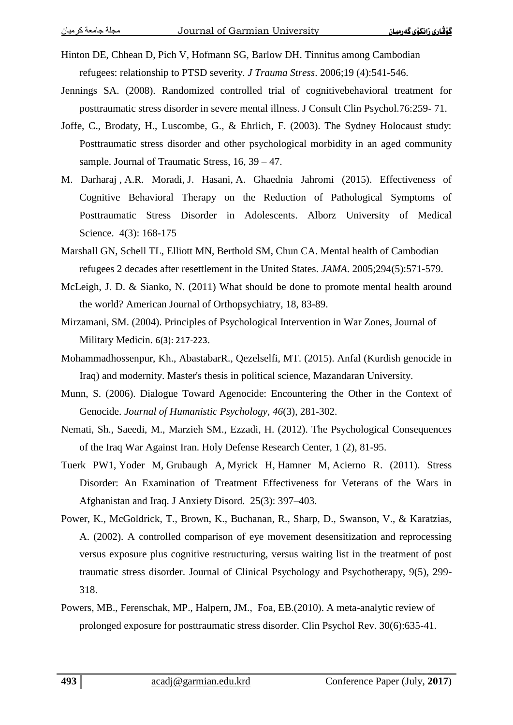- Hinton DE, Chhean D, Pich V, Hofmann SG, Barlow DH. Tinnitus among Cambodian refugees: relationship to PTSD severity. *J Trauma Stress*. 2006;19 (4):541-546.
- Jennings SA. (2008). Randomized controlled trial of cognitivebehavioral treatment for posttraumatic stress disorder in severe mental illness. J Consult Clin Psychol.76:259- 71.
- Joffe, C., Brodaty, H., Luscombe, G., & Ehrlich, F. (2003). The Sydney Holocaust study: Posttraumatic stress disorder and other psychological morbidity in an aged community sample. Journal of Traumatic Stress, 16, 39 – 47.
- [M. Darharaj](http://aums.abzums.ac.ir/search.php?sid=1&slc_lang=en&auth=Darharaj) , [A.R. Moradi,](http://aums.abzums.ac.ir/search.php?sid=1&slc_lang=en&auth=Moradi) [J. Hasani,](http://aums.abzums.ac.ir/search.php?sid=1&slc_lang=en&auth=Hasani) [A. Ghaednia Jahromi](http://aums.abzums.ac.ir/search.php?sid=1&slc_lang=en&auth=Ghaednia+Jahromi) (2015). [Effectiveness of](http://aums.abzums.ac.ir/article-1-331-en.pdf)  [Cognitive Behavioral Therapy on the Reduction of Pathological Symptoms of](http://aums.abzums.ac.ir/article-1-331-en.pdf)  [Posttraumatic Stress Disorder in Adolescents.](http://aums.abzums.ac.ir/article-1-331-en.pdf) Alborz University of Medical Science. [4\(3\): 168-175](http://aums.abzums.ac.ir/browse.php?mag_id=15&slc_lang=en&sid=1)
- Marshall GN, Schell TL, Elliott MN, Berthold SM, Chun CA. Mental health of Cambodian refugees 2 decades after resettlement in the United States. *JAMA*. 2005;294(5):571-579.
- McLeigh, J. D. & Sianko, N. (2011) What should be done to promote mental health around the world? American Journal of Orthopsychiatry, 18, 83-89.
- Mirzamani, SM. (2004). [Principles of Psychological Intervention in War Zones,](https://militarymedj.ir/article-1-130-en.pdf) Journal of Military Medicin. [6\(3\): 217-223](https://militarymedj.ir/browse.php?mag_id=10&slc_lang=en&sid=1).
- Mohammadhossenpur, Kh., AbastabarR., Qezelselfi, MT. (2015). Anfal (Kurdish genocide in Iraq) and modernity. Master's thesis in political science, Mazandaran University.
- Munn, S. (2006). Dialogue Toward Agenocide: Encountering the Other in the Context of Genocide. *Journal of Humanistic Psychology, 46*(3), 281-302.
- Nemati, Sh., Saeedi, M., Marzieh SM., Ezzadi, H. (2012). The Psychological Consequences of the Iraq War Against Iran. Holy Defense Research Center, 1 (2), 81-95.
- [Tuerk PW1](https://www.ncbi.nlm.nih.gov/pubmed/?term=Tuerk%20PW%5BAuthor%5D&cauthor=true&cauthor_uid=21131170), [Yoder M,](https://www.ncbi.nlm.nih.gov/pubmed/?term=Yoder%20M%5BAuthor%5D&cauthor=true&cauthor_uid=21131170) [Grubaugh A,](https://www.ncbi.nlm.nih.gov/pubmed/?term=Grubaugh%20A%5BAuthor%5D&cauthor=true&cauthor_uid=21131170) [Myrick H,](https://www.ncbi.nlm.nih.gov/pubmed/?term=Myrick%20H%5BAuthor%5D&cauthor=true&cauthor_uid=21131170) [Hamner M,](https://www.ncbi.nlm.nih.gov/pubmed/?term=Hamner%20M%5BAuthor%5D&cauthor=true&cauthor_uid=21131170) [Acierno R.](https://www.ncbi.nlm.nih.gov/pubmed/?term=Acierno%20R%5BAuthor%5D&cauthor=true&cauthor_uid=21131170) (2011). Stress Disorder: An Examination of Treatment Effectiveness for Veterans of the Wars in Afghanistan and Iraq. J Anxiety Disord. 25(3): 397–403.
- Power, K., McGoldrick, T., Brown, K., Buchanan, R., Sharp, D., Swanson, V., & Karatzias, A. (2002). A controlled comparison of eye movement desensitization and reprocessing versus exposure plus cognitive restructuring, versus waiting list in the treatment of post traumatic stress disorder. Journal of Clinical Psychology and Psychotherapy, 9(5), 299- 318.
- Powers, MB., [Ferenschak,](https://www.researchgate.net/researcher/37786443_Michael_P_Ferenschak) MP., [Halpern,](https://www.researchgate.net/researcher/37787498_Jacqueline_M_Halpern) JM., [Foa,](https://www.researchgate.net/profile/Edna_Foa) EB.(2010). A meta-analytic review of prolonged exposure for posttraumatic stress disorder. Clin Psychol Rev. 30(6):635-41.